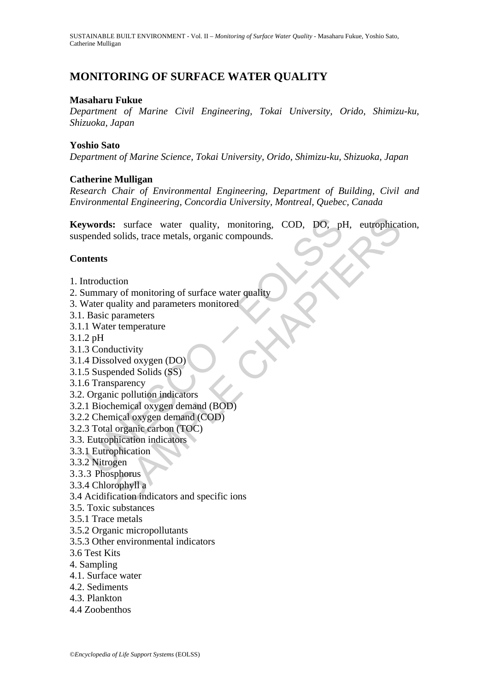# **MONITORING OF SURFACE WATER QUALITY**

### **Masaharu Fukue**

*Department of Marine Civil Engineering, Tokai University, Orido, Shimizu-ku, Shizuoka, Japan* 

### **Yoshio Sato**

*Department of Marine Science, Tokai University, Orido, Shimizu-ku, Shizuoka, Japan* 

### **Catherine Mulligan**

*Research Chair of Environmental Engineering, Department of Building, Civil and Environmental Engineering, Concordia University, Montreal, Quebec, Canada* 

**Example 18 Section**<br>
See Section 2016, and the section of a proposed solids, trace metals, organic compounds.<br> **Alternation**<br> **Example 3** Conductivity<br>
Vater quality and parameters monitored<br>
Basic parameters<br>
1 Water tem Example the valid of the metals, organic compounds.<br>
Solids, trace metals, organic compounds.<br>
Solids, trace metals, organic compounds.<br>
The metals of monitoring of surface water quality<br>
and parameters monitored<br>
paramete **Keywords:** surface water quality, monitoring, COD, DO, pH, eutrophication, suspended solids, trace metals, organic compounds.

### **Contents**

- 1. Introduction
- 2. Summary of monitoring of surface water quality
- 3. Water quality and parameters monitored
- 3.1. Basic parameters
- 3.1.1 Water temperature
- 3.1.2 pH
- 3.1.3 Conductivity
- 3.1.4 Dissolved oxygen (DO)
- 3.1.5 Suspended Solids (SS)
- 3.1.6 Transparency
- 3.2. Organic pollution indicators
- 3.2.1 Biochemical oxygen demand (BOD)
- 3.2.2 Chemical oxygen demand (COD)
- 3.2.3 Total organic carbon (TOC)
- 3.3. Eutrophication indicators
- 3.3.1 Eutrophication
- 3.3.2 Nitrogen
- 3.3.3 Phosphorus
- 3.3.4 Chlorophyll a
- 3.4 Acidification indicators and specific ions
- 3.5. Toxic substances
- 3.5.1 Trace metals
- 3.5.2 Organic micropollutants
- 3.5.3 Other environmental indicators
- 3.6 Test Kits
- 4. Sampling
- 4.1. Surface water
- 4.2. Sediments
- 4.3. Plankton
- 4.4 Zoobenthos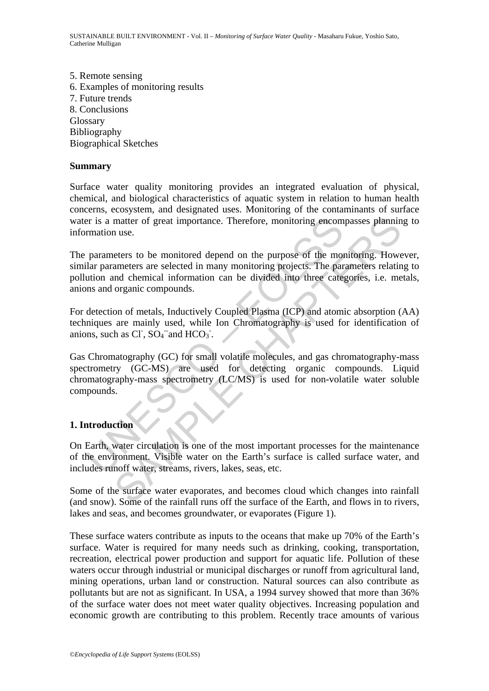5. Remote sensing 6. Examples of monitoring results 7. Future trends 8. Conclusions Glossary Bibliography Biographical Sketches

### **Summary**

Surface water quality monitoring provides an integrated evaluation of physical, chemical, and biological characteristics of aquatic system in relation to human health concerns, ecosystem, and designated uses. Monitoring of the contaminants of surface water is a matter of great importance. Therefore, monitoring encompasses planning to information use.

is a matter of great importance. Therefore, monitoring encom<br>mation use.<br>parameters to be monitored depend on the purpose of the molar parameters are selected in many monitoring projects. The parameters are selected in man matter of great importance. Therefore, monitoring encompasses plannin<br>
nuse.<br>
nuse.<br>
eters to be monitored depend on the purpose of the monitoring. Howe<br>
ameters are selected in many monitoring projects. The parameters rel The parameters to be monitored depend on the purpose of the monitoring. However, similar parameters are selected in many monitoring projects. The parameters relating to pollution and chemical information can be divided into three categories, i.e. metals, anions and organic compounds.

For detection of metals, Inductively Coupled Plasma (ICP) and atomic absorption (AA) techniques are mainly used, while Ion Chromatography is used for identification of anions, such as Cl<sup>-</sup>,  $SO_4^-$  and HCO<sub>3</sub><sup>-</sup>.

Gas Chromatography (GC) for small volatile molecules, and gas chromatography-mass spectrometry (GC-MS) are used for detecting organic compounds. Liquid chromatography-mass spectrometry (LC/MS) is used for non-volatile water soluble compounds.

# **1. Introduction**

On Earth, water circulation is one of the most important processes for the maintenance of the environment. Visible water on the Earth's surface is called surface water, and includes runoff water, streams, rivers, lakes, seas, etc.

Some of the surface water evaporates, and becomes cloud which changes into rainfall (and snow). Some of the rainfall runs off the surface of the Earth, and flows in to rivers, lakes and seas, and becomes groundwater, or evaporates (Figure 1).

These surface waters contribute as inputs to the oceans that make up 70% of the Earth's surface. Water is required for many needs such as drinking, cooking, transportation, recreation, electrical power production and support for aquatic life. Pollution of these waters occur through industrial or municipal discharges or runoff from agricultural land, mining operations, urban land or construction. Natural sources can also contribute as pollutants but are not as significant. In USA, a 1994 survey showed that more than 36% of the surface water does not meet water quality objectives. Increasing population and economic growth are contributing to this problem. Recently trace amounts of various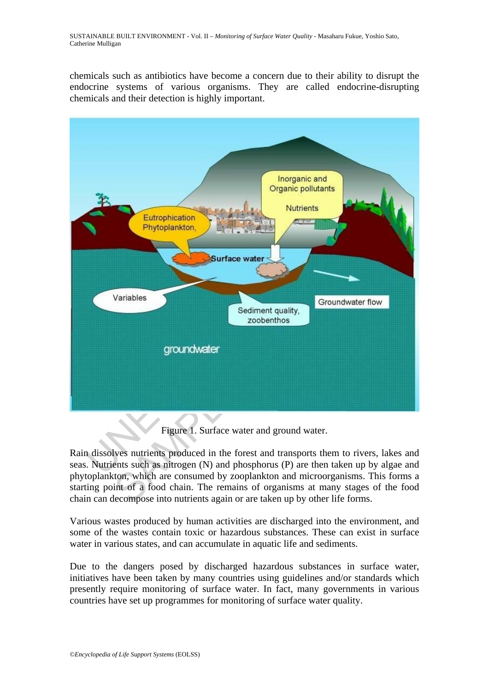chemicals such as antibiotics have become a concern due to their ability to disrupt the endocrine systems of various organisms. They are called endocrine-disrupting chemicals and their detection is highly important.



Figure 1. Surface water and ground water.

Rain dissolves nutrients produced in the forest and transports them to rivers, lakes and seas. Nutrients such as nitrogen (N) and phosphorus (P) are then taken up by algae and phytoplankton, which are consumed by zooplankton and microorganisms. This forms a starting point of a food chain. The remains of organisms at many stages of the food chain can decompose into nutrients again or are taken up by other life forms.

Various wastes produced by human activities are discharged into the environment, and some of the wastes contain toxic or hazardous substances. These can exist in surface water in various states, and can accumulate in aquatic life and sediments.

Due to the dangers posed by discharged hazardous substances in surface water, initiatives have been taken by many countries using guidelines and/or standards which presently require monitoring of surface water. In fact, many governments in various countries have set up programmes for monitoring of surface water quality.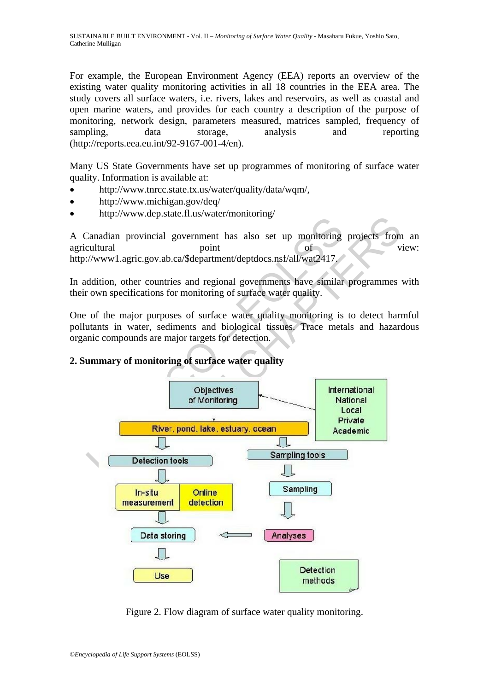For example, the European Environment Agency (EEA) reports an overview of the existing water quality monitoring activities in all 18 countries in the EEA area. The study covers all surface waters, i.e. rivers, lakes and reservoirs, as well as coastal and open marine waters, and provides for each country a description of the purpose of monitoring, network design, parameters measured, matrices sampled, frequency of sampling, data storage, analysis and reporting (http://reports.eea.eu.int/92-9167-001-4/en).

Many US State Governments have set up programmes of monitoring of surface water quality. Information is available at:

- http://www.tnrcc.state.tx.us/water/quality/data/wqm/,
- http://www.michigan.gov/deq/
- http://www.dep.state.fl.us/water/monitoring/

A Canadian provincial government has also set up monitoring projects from an agricultural point of view: http://www1.agric.gov.ab.ca/\$department/deptdocs.nsf/all/wat2417.

In addition, other countries and regional governments have similar programmes with their own specifications for monitoring of surface water quality.

One of the major purposes of surface water quality monitoring is to detect harmful pollutants in water, sediments and biological tissues. Trace metals and hazardous organic compounds are major targets for detection.

# **2. Summary of monitoring of surface water quality**



Figure 2. Flow diagram of surface water quality monitoring.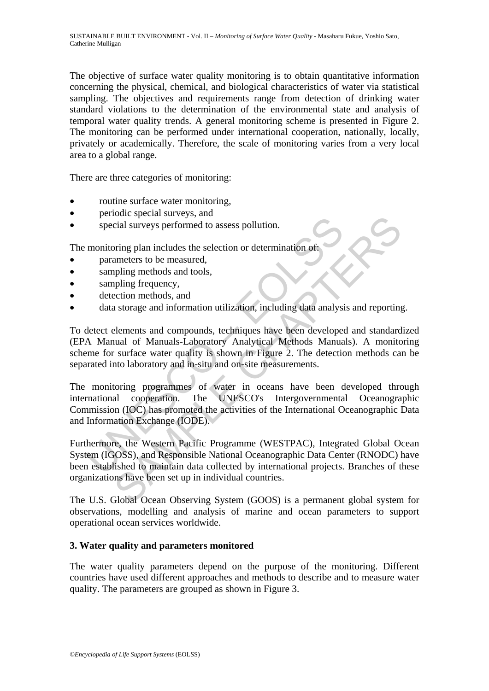The objective of surface water quality monitoring is to obtain quantitative information concerning the physical, chemical, and biological characteristics of water via statistical sampling. The objectives and requirements range from detection of drinking water standard violations to the determination of the environmental state and analysis of temporal water quality trends. A general monitoring scheme is presented in Figure 2. The monitoring can be performed under international cooperation, nationally, locally, privately or academically. Therefore, the scale of monitoring varies from a very local area to a global range.

There are three categories of monitoring:

- routine surface water monitoring,
- periodic special surveys, and
- special surveys performed to assess pollution.

The monitoring plan includes the selection or determination of:

- **parameters to be measured,**
- sampling methods and tools,
- sampling frequency,
- detection methods, and
- data storage and information utilization, including data analysis and reporting.

special surveys performed to assess pollution.<br>
monitoring plan includes the selection or determination of parameters to be measured,<br>
sampling methods and tools,<br>
sampling frequency,<br>
detection methods, and<br>
data storage Collar surveys performed to assess pollution.<br>
Scial surveys performed to assess pollution.<br>
Scial surveys performed to assess pollution.<br>
Simpling methods and tools,<br>
philing frequency,<br>
ection methods and tools,<br>
philing To detect elements and compounds, techniques have been developed and standardized (EPA Manual of Manuals-Laboratory Analytical Methods Manuals). A monitoring scheme for surface water quality is shown in Figure 2. The detection methods can be separated into laboratory and in-situ and on-site measurements.

The monitoring programmes of water in oceans have been developed through international cooperation. The UNESCO's Intergovernmental Oceanographic Commission (IOC) has promoted the activities of the International Oceanographic Data and Information Exchange (IODE).

Furthermore, the Western Pacific Programme (WESTPAC), Integrated Global Ocean System (IGOSS), and Responsible National Oceanographic Data Center (RNODC) have been established to maintain data collected by international projects. Branches of these organizations have been set up in individual countries.

The U.S. Global Ocean Observing System (GOOS) is a permanent global system for observations, modelling and analysis of marine and ocean parameters to support operational ocean services worldwide.

#### **3. Water quality and parameters monitored**

The water quality parameters depend on the purpose of the monitoring. Different countries have used different approaches and methods to describe and to measure water quality. The parameters are grouped as shown in Figure 3.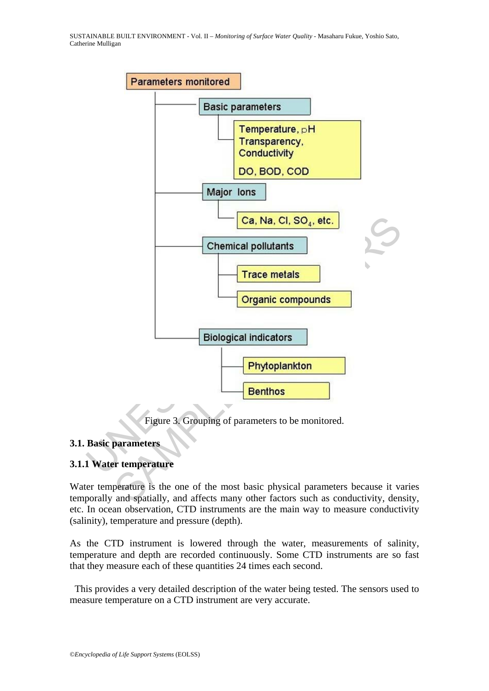SUSTAINABLE BUILT ENVIRONMENT - Vol. II – *Monitoring of Surface Water Quality* - Masaharu Fukue, Yoshio Sato, Catherine Mulligan



Figure 3. Grouping of parameters to be monitored.

#### **3.1. Basic parameters**

# **3.1.1 Water temperature**

Water temperature is the one of the most basic physical parameters because it varies temporally and spatially, and affects many other factors such as conductivity, density, etc. In ocean observation, CTD instruments are the main way to measure conductivity (salinity), temperature and pressure (depth).

As the CTD instrument is lowered through the water, measurements of salinity, temperature and depth are recorded continuously. Some CTD instruments are so fast that they measure each of these quantities 24 times each second.

 This provides a very detailed description of the water being tested. The sensors used to measure temperature on a CTD instrument are very accurate.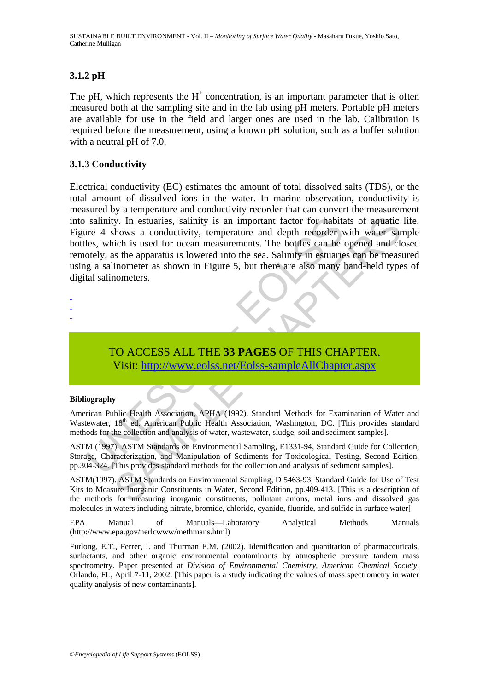SUSTAINABLE BUILT ENVIRONMENT - Vol. II – *Monitoring of Surface Water Quality* - Masaharu Fukue, Yoshio Sato, Catherine Mulligan

### **3.1.2 pH**

The pH, which represents the  $H^+$  concentration, is an important parameter that is often measured both at the sampling site and in the lab using pH meters. Portable pH meters are available for use in the field and larger ones are used in the lab. Calibration is required before the measurement, using a known pH solution, such as a buffer solution with a neutral pH of 7.0.

### **3.1.3 Conductivity**

salinity. In estuaries, salinity is an important factor for habiture 4 shows a conductivity, temperature and depth recorder velos, which is used for ocean measurements. The bottles can be otely, as the apparatus is lowered V. In estuaries, salinity is an important factor for habitats of aquatic<br>vibrows a conductivity, temperature and depth recorder with water sar<br>ici is used for ocean measurements. The bottles can be opened and clo<br>is the ap Electrical conductivity (EC) estimates the amount of total dissolved salts (TDS), or the total amount of dissolved ions in the water. In marine observation, conductivity is measured by a temperature and conductivity recorder that can convert the measurement into salinity. In estuaries, salinity is an important factor for habitats of aquatic life. Figure 4 shows a conductivity, temperature and depth recorder with water sample bottles, which is used for ocean measurements. The bottles can be opened and closed remotely, as the apparatus is lowered into the sea. Salinity in estuaries can be measured using a salinometer as shown in Figure 5, but there are also many hand-held types of digital salinometers.

- -

-

TO ACCESS ALL THE **33 PAGES** OF THIS CHAPTER, Visit: http://www.eolss.net/Eolss-sampleAllChapter.aspx

#### **Bibliography**

American Public Health Association, APHA (1992). Standard Methods for Examination of Water and Wastewater, 18<sup>th</sup> ed. American Public Health Association, Washington, DC. [This provides standard methods for the collection and analysis of water, wastewater, sludge, soil and sediment samples].

ASTM (1997). ASTM Standards on Environmental Sampling, E1331-94, Standard Guide for Collection, Storage, Characterization, and Manipulation of Sediments for Toxicological Testing, Second Edition, pp.304-324. [This provides standard methods for the collection and analysis of sediment samples].

ASTM(1997). ASTM Standards on Environmental Sampling, D 5463-93, Standard Guide for Use of Test Kits to Measure Inorganic Constituents in Water, Second Edition, pp.409-413. [This is a description of the methods for measuring inorganic constituents, pollutant anions, metal ions and dissolved gas molecules in waters including nitrate, bromide, chloride, cyanide, fluoride, and sulfide in surface water]

EPA Manual of Manuals—Laboratory Analytical Methods Manuals (http://www.epa.gov/nerlcwww/methmans.html)

Furlong, E.T., Ferrer, I. and Thurman E.M. (2002). Identification and quantitation of pharmaceuticals, surfactants, and other organic environmental contaminants by atmospheric pressure tandem mass spectrometry. Paper presented at *Division of Environmental Chemistry, American Chemical Society,* Orlando, FL, April 7-11, 2002. [This paper is a study indicating the values of mass spectrometry in water quality analysis of new contaminants].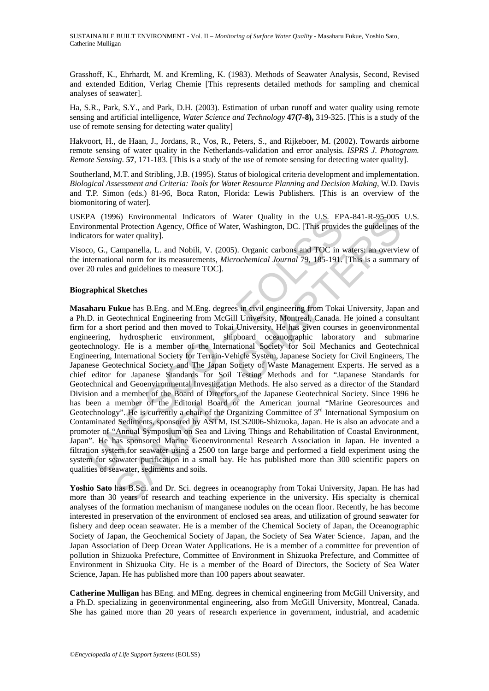Grasshoff, K., Ehrhardt, M. and Kremling, K. (1983). Methods of Seawater Analysis, Second, Revised and extended Edition, Verlag Chemie [This represents detailed methods for sampling and chemical analyses of seawater].

Ha, S.R., Park, S.Y., and Park, D.H. (2003). Estimation of urban runoff and water quality using remote sensing and artificial intelligence, *Water Science and Technology* **47(7-8),** 319-325. [This is a study of the use of remote sensing for detecting water quality]

Hakvoort, H., de Haan, J., Jordans, R., Vos, R., Peters, S., and Rijkeboer, M. (2002). Towards airborne remote sensing of water quality in the Netherlands-validation and error analysis. *ISPRS J. Photogram. Remote Sensing*. **57**, 171-183. [This is a study of the use of remote sensing for detecting water quality].

Southerland, M.T. and Stribling, J.B. (1995). Status of biological criteria development and implementation. *Biological Assessment and Criteria: Tools for Water Resource Planning and Decision Making*, W.D. Davis and T.P. Simon (eds.) 81-96, Boca Raton, Florida: Lewis Publishers. [This is an overview of the biomonitoring of water].

USEPA (1996) Environmental Indicators of Water Quality in the U.S*.* EPA-841-R-95-005 U.S. Environmental Protection Agency, Office of Water, Washington, DC. [This provides the guidelines of the indicators for water quality].

Visoco, G., Campanella, L. and Nobili, V. (2005). Organic carbons and TOC in waters: an overview of the international norm for its measurements, *Microchemical Journal* 79, 185-191. [This is a summary of over 20 rules and guidelines to measure TOC].

#### **Biographical Sketches**

PA (1996) Environmental Indicators of Water Quality in the U.S. EP.<br>
A (1996) Environmental Protection Agency, Office of Water, Washington, DC. [This provide<br>
ators for water quality].<br>
co, G., Campanella, L. and Nobili, 96)<br>
Hal Protection Agency, Office of Water Quality in the U.S. EPA-841-R-95-005<br>
al Protection Agency, Office of Water, Washington, DC. [This provides the guidelines c<br>
"water quality].<br>
Campanella, L. and Nobili, V. (200 **Masaharu Fukue** has B.Eng. and M.Eng. degrees in civil engineering from Tokai University, Japan and a Ph.D. in Geotechnical Engineering from McGill University, Montreal, Canada. He joined a consultant firm for a short period and then moved to Tokai University. He has given courses in geoenvironmental engineering, hydrospheric environment, shipboard oceanographic laboratory and submarine geotechnology. He is a member of the International Society for Soil Mechanics and Geotechnical Engineering, International Society for Terrain-Vehicle System, Japanese Society for Civil Engineers, The Japanese Geotechnical Society and The Japan Society of Waste Management Experts. He served as a chief editor for Japanese Standards for Soil Testing Methods and for "Japanese Standards for Geotechnical and Geoenvironmental Investigation Methods. He also served as a director of the Standard Division and a member of the Board of Directors, of the Japanese Geotechnical Society. Since 1996 he has been a member of the Editorial Board of the American journal "Marine Georesources and Geotechnology". He is currently a chair of the Organizing Committee of 3<sup>rd</sup> International Symposium on Contaminated Sediments, sponsored by ASTM, ISCS2006-Shizuoka, Japan. He is also an advocate and a promoter of "Annual Symposium on Sea and Living Things and Rehabilitation of Coastal Environment, Japan". He has sponsored Marine Geoenvironmental Research Association in Japan. He invented a filtration system for seawater using a 2500 ton large barge and performed a field experiment using the system for seawater purification in a small bay. He has published more than 300 scientific papers on qualities of seawater, sediments and soils.

**Yoshio Sato** has B.Sci. and Dr. Sci. degrees in oceanography from Tokai University, Japan. He has had more than 30 years of research and teaching experience in the university. His specialty is chemical analyses of the formation mechanism of manganese nodules on the ocean floor. Recently, he has become interested in preservation of the environment of enclosed sea areas, and utilization of ground seawater for fishery and deep ocean seawater. He is a member of the Chemical Society of Japan, the Oceanographic Society of Japan, the Geochemical Society of Japan, the Society of Sea Water Science, Japan, and the Japan Association of Deep Ocean Water Applications. He is a member of a committee for prevention of pollution in Shizuoka Prefecture, Committee of Environment in Shizuoka Prefecture, and Committee of Environment in Shizuoka City. He is a member of the Board of Directors, the Society of Sea Water Science, Japan. He has published more than 100 papers about seawater.

**Catherine Mulligan** has BEng. and MEng. degrees in chemical engineering from McGill University, and a Ph.D. specializing in geoenvironmental engineering, also from McGill University, Montreal, Canada. She has gained more than 20 years of research experience in government, industrial, and academic